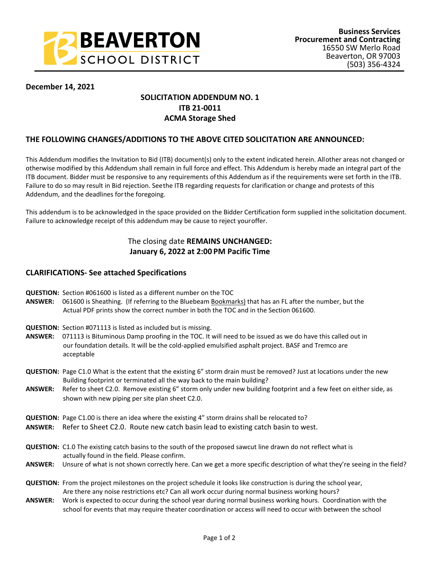

# **December 14, 2021**

# **SOLICITATION ADDENDUM NO. 1 ITB 21-0011 ACMA Storage Shed**

# **THE FOLLOWING CHANGES/ADDITIONS TO THE ABOVE CITED SOLICITATION ARE ANNOUNCED:**

This Addendum modifies the Invitation to Bid (ITB) document(s) only to the extent indicated herein. All other areas not changed or otherwise modified by this Addendum shall remain in full force and effect. This Addendum is hereby made an integral part of the ITB document. Bidder must be responsive to any requirements of this Addendum as if the requirements were set forth in the ITB. Failure to do so may result in Bid rejection. See the ITB regarding requests for clarification or change and protests of this Addendum, and the deadlines for the foregoing.

This addendum is to be acknowledged in the space provided on the Bidder Certification form supplied in the solicitation document. Failure to acknowledge receipt of this addendum may be cause to reject your offer.

# The closing date **REMAINS UNCHANGED: January 6, 2022 at 2:00 PM Pacific Time**

# **CLARIFICATIONS- See attached Specifications**

- **QUESTION:** Section #061600 is listed as a different number on the TOC
- **ANSWER:** 061600 is Sheathing. (If referring to the Bluebeam Bookmarks) that has an FL after the number, but the Actual PDF prints show the correct number in both the TOC and in the Section 061600.
- **QUESTION:** Section #071113 is listed as included but is missing.
- **ANSWER:** 071113 is Bituminous Damp proofing in the TOC. It will need to be issued as we do have this called out in our foundation details. It will be the cold-applied emulsified asphalt project. BASF and Tremco are acceptable
- **QUESTION:** Page C1.0 What is the extent that the existing 6" storm drain must be removed? Just at locations under the new Building footprint or terminated all the way back to the main building?
- **ANSWER:** Refer to sheet C2.0. Remove existing 6" storm only under new building footprint and a few feet on either side, as shown with new piping per site plan sheet C2.0.
- **QUESTION:** Page C1.00 is there an idea where the existing 4" storm drains shall be relocated to?
- **ANSWER:** Refer to Sheet C2.0. Route new catch basin lead to existing catch basin to west.
- **QUESTION:** C1.0 The existing catch basins to the south of the proposed sawcut line drawn do not reflect what is actually found in the field. Please confirm.
- **ANSWER:** Unsure of what is not shown correctly here. Can we get a more specific description of what they're seeing in the field?
- **QUESTION:** From the project milestones on the project schedule it looks like construction is during the school year, Are there any noise restrictions etc? Can all work occur during normal business working hours?
- **ANSWER:** Work is expected to occur during the school year during normal business working hours. Coordination with the school for events that may require theater coordination or access will need to occur with between the school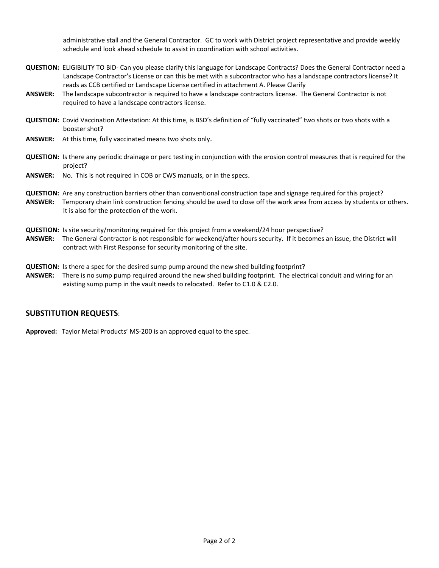administrative stall and the General Contractor. GC to work with District project representative and provide weekly schedule and look ahead schedule to assist in coordination with school activities.

- **QUESTION:** ELIGIBILITY TO BID- Can you please clarify this language for Landscape Contracts? Does the General Contractor need a Landscape Contractor's License or can this be met with a subcontractor who has a landscape contractors license? It reads as CCB certified or Landscape License certified in attachment A. Please Clarify
- **ANSWER:** The landscape subcontractor is required to have a landscape contractors license. The General Contractor is not required to have a landscape contractors license.
- **QUESTION:** Covid Vaccination Attestation: At this time, is BSD's definition of "fully vaccinated" two shots or two shots with a booster shot?
- **ANSWER:** At this time, fully vaccinated means two shots only.
- **QUESTION:** Is there any periodic drainage or perc testing in conjunction with the erosion control measures that is required for the project?
- **ANSWER:** No. This is not required in COB or CWS manuals, or in the specs.
- **QUESTION:** Are any construction barriers other than conventional construction tape and signage required for this project?
- **ANSWER:** Temporary chain link construction fencing should be used to close off the work area from access by students or others. It is also for the protection of the work.
- **QUESTION:** Is site security/monitoring required for this project from a weekend/24 hour perspective?
- **ANSWER:** The General Contractor is not responsible for weekend/after hours security. If it becomes an issue, the District will contract with First Response for security monitoring of the site.
- **QUESTION:** Is there a spec for the desired sump pump around the new shed building footprint?
- **ANSWER:** There is no sump pump required around the new shed building footprint. The electrical conduit and wiring for an existing sump pump in the vault needs to relocated. Refer to C1.0 & C2.0.

#### **SUBSTITUTION REQUESTS**:

**Approved:** Taylor Metal Products' MS-200 is an approved equal to the spec.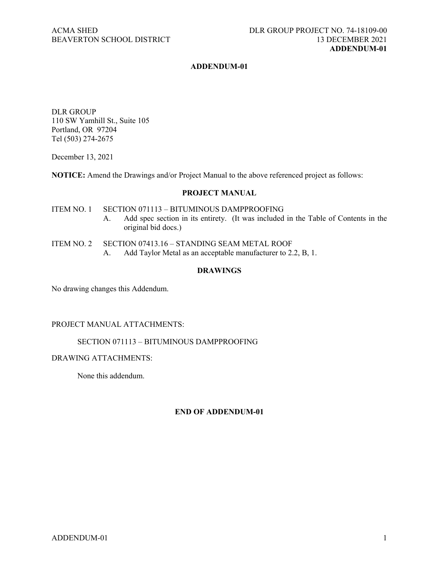### **ADDENDUM-01**

DLR GROUP 110 SW Yamhill St., Suite 105 Portland, OR 97204 Tel (503) 274-2675

December 13, 2021

**NOTICE:** Amend the Drawings and/or Project Manual to the above referenced project as follows:

#### **PROJECT MANUAL**

ITEM NO. 1 SECTION 071113 – BITUMINOUS DAMPPROOFING A. Add spec section in its entirety. (It was included in the Table of Contents in the original bid docs.)

- ITEM NO. 2 SECTION 07413.16 STANDING SEAM METAL ROOF
	- A. Add Taylor Metal as an acceptable manufacturer to 2.2, B, 1.

### **DRAWINGS**

No drawing changes this Addendum.

### PROJECT MANUAL ATTACHMENTS:

#### SECTION 071113 – BITUMINOUS DAMPPROOFING

#### DRAWING ATTACHMENTS:

None this addendum.

# **END OF ADDENDUM-01**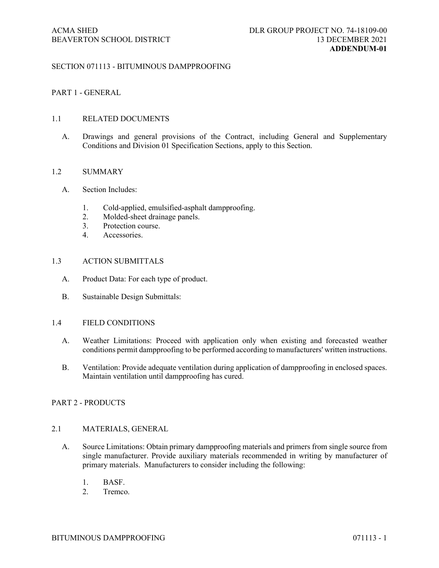### SECTION 071113 - BITUMINOUS DAMPPROOFING

### PART 1 - GENERAL

# 1.1 RELATED DOCUMENTS

A. Drawings and general provisions of the Contract, including General and Supplementary Conditions and Division 01 Specification Sections, apply to this Section.

### 1.2 SUMMARY

- A. Section Includes:
	- 1. Cold-applied, emulsified-asphalt dampproofing.
	- 2. Molded-sheet drainage panels.
	- 3. Protection course.
	- 4. Accessories.

### 1.3 ACTION SUBMITTALS

- A. Product Data: For each type of product.
- B. Sustainable Design Submittals:

#### 1.4 FIELD CONDITIONS

- A. Weather Limitations: Proceed with application only when existing and forecasted weather conditions permit dampproofing to be performed according to manufacturers' written instructions.
- B. Ventilation: Provide adequate ventilation during application of dampproofing in enclosed spaces. Maintain ventilation until dampproofing has cured.

#### PART 2 - PRODUCTS

### 2.1 MATERIALS, GENERAL

- A. Source Limitations: Obtain primary dampproofing materials and primers from single source from single manufacturer. Provide auxiliary materials recommended in writing by manufacturer of primary materials. Manufacturers to consider including the following:
	- 1. BASF.
	- 2. Tremco.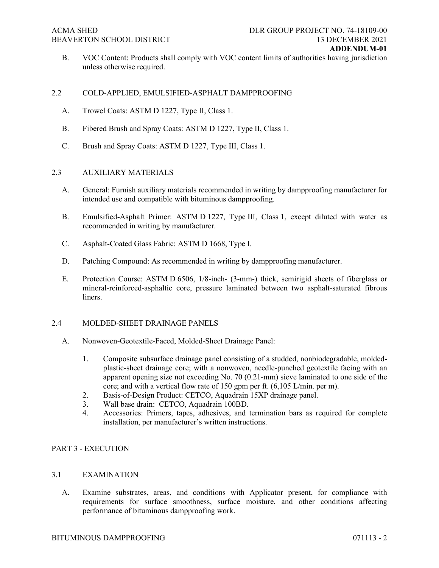B. VOC Content: Products shall comply with VOC content limits of authorities having jurisdiction unless otherwise required.

# 2.2 COLD-APPLIED, EMULSIFIED-ASPHALT DAMPPROOFING

- A. Trowel Coats: ASTM D 1227, Type II, Class 1.
- B. Fibered Brush and Spray Coats: ASTM D 1227, Type II, Class 1.
- C. Brush and Spray Coats: ASTM D 1227, Type III, Class 1.

## 2.3 AUXILIARY MATERIALS

- A. General: Furnish auxiliary materials recommended in writing by dampproofing manufacturer for intended use and compatible with bituminous dampproofing.
- B. Emulsified-Asphalt Primer: ASTM D 1227, Type III, Class 1, except diluted with water as recommended in writing by manufacturer.
- C. Asphalt-Coated Glass Fabric: ASTM D 1668, Type I.
- D. Patching Compound: As recommended in writing by dampproofing manufacturer.
- E. Protection Course: ASTM D 6506, 1/8-inch- (3-mm-) thick, semirigid sheets of fiberglass or mineral-reinforced-asphaltic core, pressure laminated between two asphalt-saturated fibrous liners.

## 2.4 MOLDED-SHEET DRAINAGE PANELS

- A. Nonwoven-Geotextile-Faced, Molded-Sheet Drainage Panel:
	- 1. Composite subsurface drainage panel consisting of a studded, nonbiodegradable, moldedplastic-sheet drainage core; with a nonwoven, needle-punched geotextile facing with an apparent opening size not exceeding No. 70 (0.21-mm) sieve laminated to one side of the core; and with a vertical flow rate of 150 gpm per ft. (6,105 L/min. per m).
	- 2. Basis-of-Design Product: CETCO, Aquadrain 15XP drainage panel.
	- 3. Wall base drain: CETCO, Aquadrain 100BD.
	- 4. Accessories: Primers, tapes, adhesives, and termination bars as required for complete installation, per manufacturer's written instructions.

## PART 3 - EXECUTION

## 3.1 EXAMINATION

A. Examine substrates, areas, and conditions with Applicator present, for compliance with requirements for surface smoothness, surface moisture, and other conditions affecting performance of bituminous dampproofing work.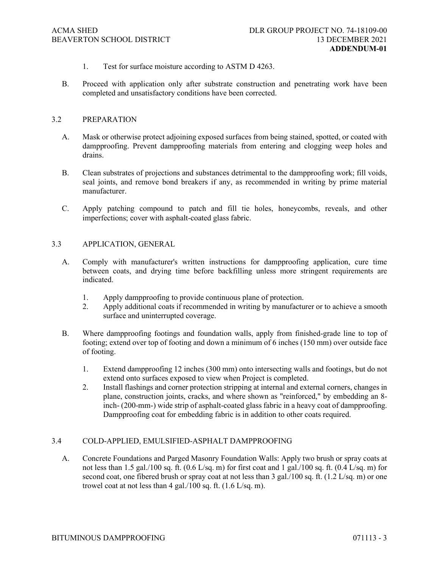- 1. Test for surface moisture according to ASTM D 4263.
- B. Proceed with application only after substrate construction and penetrating work have been completed and unsatisfactory conditions have been corrected.

### 3.2 PREPARATION

- A. Mask or otherwise protect adjoining exposed surfaces from being stained, spotted, or coated with dampproofing. Prevent dampproofing materials from entering and clogging weep holes and drains.
- B. Clean substrates of projections and substances detrimental to the dampproofing work; fill voids, seal joints, and remove bond breakers if any, as recommended in writing by prime material manufacturer.
- C. Apply patching compound to patch and fill tie holes, honeycombs, reveals, and other imperfections; cover with asphalt-coated glass fabric.

### 3.3 APPLICATION, GENERAL

- A. Comply with manufacturer's written instructions for dampproofing application, cure time between coats, and drying time before backfilling unless more stringent requirements are indicated.
	- 1. Apply dampproofing to provide continuous plane of protection.
	- 2. Apply additional coats if recommended in writing by manufacturer or to achieve a smooth surface and uninterrupted coverage.
- B. Where dampproofing footings and foundation walls, apply from finished-grade line to top of footing; extend over top of footing and down a minimum of 6 inches (150 mm) over outside face of footing.
	- 1. Extend dampproofing 12 inches (300 mm) onto intersecting walls and footings, but do not extend onto surfaces exposed to view when Project is completed.
	- 2. Install flashings and corner protection stripping at internal and external corners, changes in plane, construction joints, cracks, and where shown as "reinforced," by embedding an 8 inch- (200-mm-) wide strip of asphalt-coated glass fabric in a heavy coat of dampproofing. Dampproofing coat for embedding fabric is in addition to other coats required.

#### 3.4 COLD-APPLIED, EMULSIFIED-ASPHALT DAMPPROOFING

A. Concrete Foundations and Parged Masonry Foundation Walls: Apply two brush or spray coats at not less than 1.5 gal./100 sq. ft.  $(0.6 \text{ L/sq. m})$  for first coat and  $1 \text{ gal.}/100 \text{ sq. ft.}$   $(0.4 \text{ L/sq. m})$  for second coat, one fibered brush or spray coat at not less than 3 gal./100 sq. ft. (1.2 L/sq. m) or one trowel coat at not less than 4 gal./100 sq. ft.  $(1.6 \text{ L/sq. m})$ .